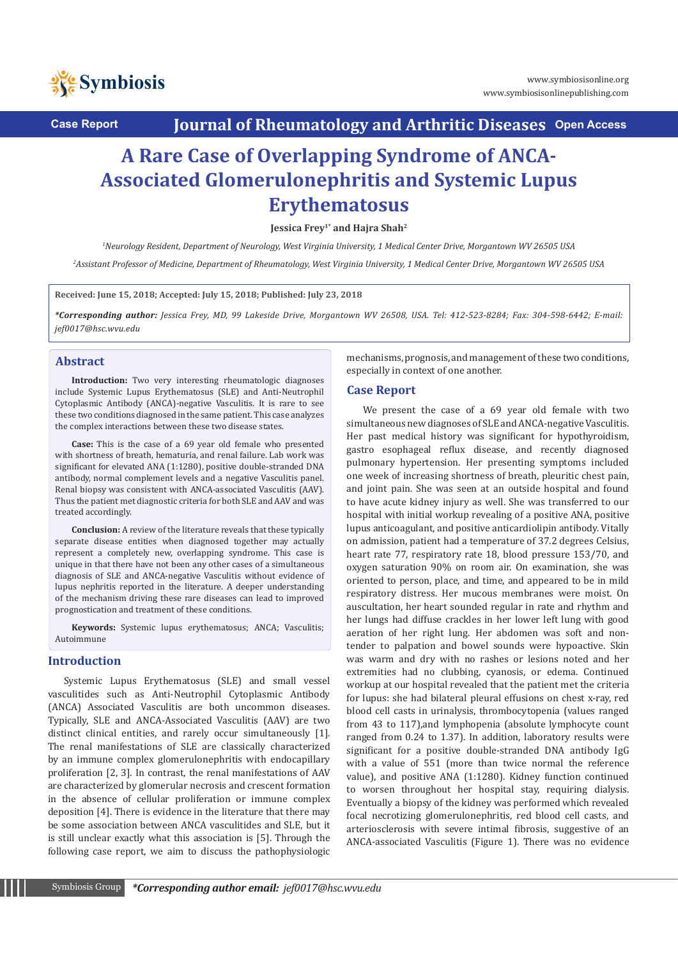

**Case Report Journal of Rheumatology and Arthritic Diseases Open Access**

# **A Rare Case of Overlapping Syndrome of ANCA-Associated Glomerulonephritis and Systemic Lupus Erythematosus**

**Jessica Frey1\* and Hajra Shah2**

*1 Neurology Resident, Department of Neurology, West Virginia University, 1 Medical Center Drive, Morgantown WV 26505 USA*

*2 Assistant Professor of Medicine, Department of Rheumatology, West Virginia University, 1 Medical Center Drive, Morgantown WV 26505 USA*

**Received: June 15, 2018; Accepted: July 15, 2018; Published: July 23, 2018**

*\*Corresponding author: Jessica Frey, MD, 99 Lakeside Drive, Morgantown WV 26508, USA. Tel: 412-523-8284; Fax: 304-598-6442; E-mail: jef0017@hsc.wvu.edu*

#### **Abstract**

**Introduction:** Two very interesting rheumatologic diagnoses include Systemic Lupus Erythematosus (SLE) and Anti-Neutrophil Cytoplasmic Antibody (ANCA)-negative Vasculitis. It is rare to see these two conditions diagnosed in the same patient. This case analyzes the complex interactions between these two disease states.

**Case:** This is the case of a 69 year old female who presented with shortness of breath, hematuria, and renal failure. Lab work was significant for elevated ANA (1:1280), positive double-stranded DNA antibody, normal complement levels and a negative Vasculitis panel. Renal biopsy was consistent with ANCA-associated Vasculitis (AAV). Thus the patient met diagnostic criteria for both SLE and AAV and was treated accordingly.

**Conclusion:** A review of the literature reveals that these typically separate disease entities when diagnosed together may actually represent a completely new, overlapping syndrome. This case is unique in that there have not been any other cases of a simultaneous diagnosis of SLE and ANCA-negative Vasculitis without evidence of lupus nephritis reported in the literature. A deeper understanding of the mechanism driving these rare diseases can lead to improved prognostication and treatment of these conditions.

**Keywords:** Systemic lupus erythematosus; ANCA; Vasculitis; Autoimmune

#### **Introduction**

Systemic Lupus Erythematosus (SLE) and small vessel vasculitides such as Anti-Neutrophil Cytoplasmic Antibody (ANCA) Associated Vasculitis are both uncommon diseases. Typically, SLE and ANCA-Associated Vasculitis (AAV) are two distinct clinical entities, and rarely occur simultaneously [1]. The renal manifestations of SLE are classically characterized by an immune complex glomerulonephritis with endocapillary proliferation [2, 3]. In contrast, the renal manifestations of AAV are characterized by glomerular necrosis and crescent formation in the absence of cellular proliferation or immune complex deposition [4]. There is evidence in the literature that there may be some association between ANCA vasculitides and SLE, but it is still unclear exactly what this association is [5]. Through the following case report, we aim to discuss the pathophysiologic

mechanisms, prognosis, and management of these two conditions, especially in context of one another.

#### **Case Report**

We present the case of a 69 year old female with two simultaneous new diagnoses of SLE and ANCA-negative Vasculitis. Her past medical history was significant for hypothyroidism, gastro esophageal reflux disease, and recently diagnosed pulmonary hypertension. Her presenting symptoms included one week of increasing shortness of breath, pleuritic chest pain, and joint pain. She was seen at an outside hospital and found to have acute kidney injury as well. She was transferred to our hospital with initial workup revealing of a positive ANA, positive lupus anticoagulant, and positive anticardiolipin antibody. Vitally on admission, patient had a temperature of 37.2 degrees Celsius, heart rate 77, respiratory rate 18, blood pressure 153/70, and oxygen saturation 90% on room air. On examination, she was oriented to person, place, and time, and appeared to be in mild respiratory distress. Her mucous membranes were moist. On auscultation, her heart sounded regular in rate and rhythm and her lungs had diffuse crackles in her lower left lung with good aeration of her right lung. Her abdomen was soft and nontender to palpation and bowel sounds were hypoactive. Skin was warm and dry with no rashes or lesions noted and her extremities had no clubbing, cyanosis, or edema. Continued workup at our hospital revealed that the patient met the criteria for lupus: she had bilateral pleural effusions on chest x-ray, red blood cell casts in urinalysis, thrombocytopenia (values ranged from 43 to 117),and lymphopenia (absolute lymphocyte count ranged from 0.24 to 1.37). In addition, laboratory results were significant for a positive double-stranded DNA antibody IgG with a value of 551 (more than twice normal the reference value), and positive ANA (1:1280). Kidney function continued to worsen throughout her hospital stay, requiring dialysis. Eventually a biopsy of the kidney was performed which revealed focal necrotizing glomerulonephritis, red blood cell casts, and arteriosclerosis with severe intimal fibrosis, suggestive of an ANCA-associated Vasculitis (Figure 1). There was no evidence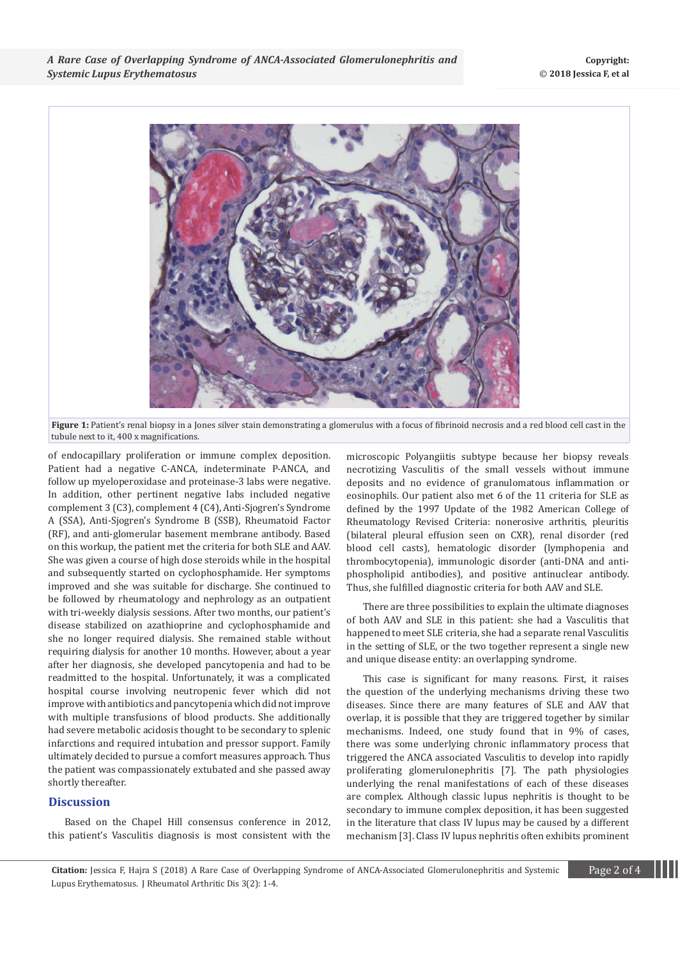

Figure 1: Patient's renal biopsy in a Jones silver stain demonstrating a glomerulus with a focus of fibrinoid necrosis and a red blood cell cast in the tubule next to it, 400 x magnifications.

of endocapillary proliferation or immune complex deposition. Patient had a negative C-ANCA, indeterminate P-ANCA, and follow up myeloperoxidase and proteinase-3 labs were negative. In addition, other pertinent negative labs included negative complement 3 (C3), complement 4 (C4), Anti-Sjogren's Syndrome A (SSA), Anti-Sjogren's Syndrome B (SSB), Rheumatoid Factor (RF), and anti-glomerular basement membrane antibody. Based on this workup, the patient met the criteria for both SLE and AAV. She was given a course of high dose steroids while in the hospital and subsequently started on cyclophosphamide. Her symptoms improved and she was suitable for discharge. She continued to be followed by rheumatology and nephrology as an outpatient with tri-weekly dialysis sessions. After two months, our patient's disease stabilized on azathioprine and cyclophosphamide and she no longer required dialysis. She remained stable without requiring dialysis for another 10 months. However, about a year after her diagnosis, she developed pancytopenia and had to be readmitted to the hospital. Unfortunately, it was a complicated hospital course involving neutropenic fever which did not improve with antibiotics and pancytopenia which did not improve with multiple transfusions of blood products. She additionally had severe metabolic acidosis thought to be secondary to splenic infarctions and required intubation and pressor support. Family ultimately decided to pursue a comfort measures approach. Thus the patient was compassionately extubated and she passed away shortly thereafter.

# **Discussion**

Based on the Chapel Hill consensus conference in 2012, this patient's Vasculitis diagnosis is most consistent with the

microscopic Polyangiitis subtype because her biopsy reveals necrotizing Vasculitis of the small vessels without immune deposits and no evidence of granulomatous inflammation or eosinophils. Our patient also met 6 of the 11 criteria for SLE as defined by the 1997 Update of the 1982 American College of Rheumatology Revised Criteria: nonerosive arthritis, pleuritis (bilateral pleural effusion seen on CXR), renal disorder (red blood cell casts), hematologic disorder (lymphopenia and thrombocytopenia), immunologic disorder (anti-DNA and antiphospholipid antibodies), and positive antinuclear antibody. Thus, she fulfilled diagnostic criteria for both AAV and SLE.

There are three possibilities to explain the ultimate diagnoses of both AAV and SLE in this patient: she had a Vasculitis that happened to meet SLE criteria, she had a separate renal Vasculitis in the setting of SLE, or the two together represent a single new and unique disease entity: an overlapping syndrome.

This case is significant for many reasons. First, it raises the question of the underlying mechanisms driving these two diseases. Since there are many features of SLE and AAV that overlap, it is possible that they are triggered together by similar mechanisms. Indeed, one study found that in 9% of cases, there was some underlying chronic inflammatory process that triggered the ANCA associated Vasculitis to develop into rapidly proliferating glomerulonephritis [7]. The path physiologies underlying the renal manifestations of each of these diseases are complex. Although classic lupus nephritis is thought to be secondary to immune complex deposition, it has been suggested in the literature that class IV lupus may be caused by a different mechanism [3]. Class IV lupus nephritis often exhibits prominent

**Citation:** Jessica F, Hajra S (2018) A Rare Case of Overlapping Syndrome of ANCA-Associated Glomerulonephritis and Systemic Page 2 of 4 Lupus Erythematosus. J Rheumatol Arthritic Dis 3(2): 1-4.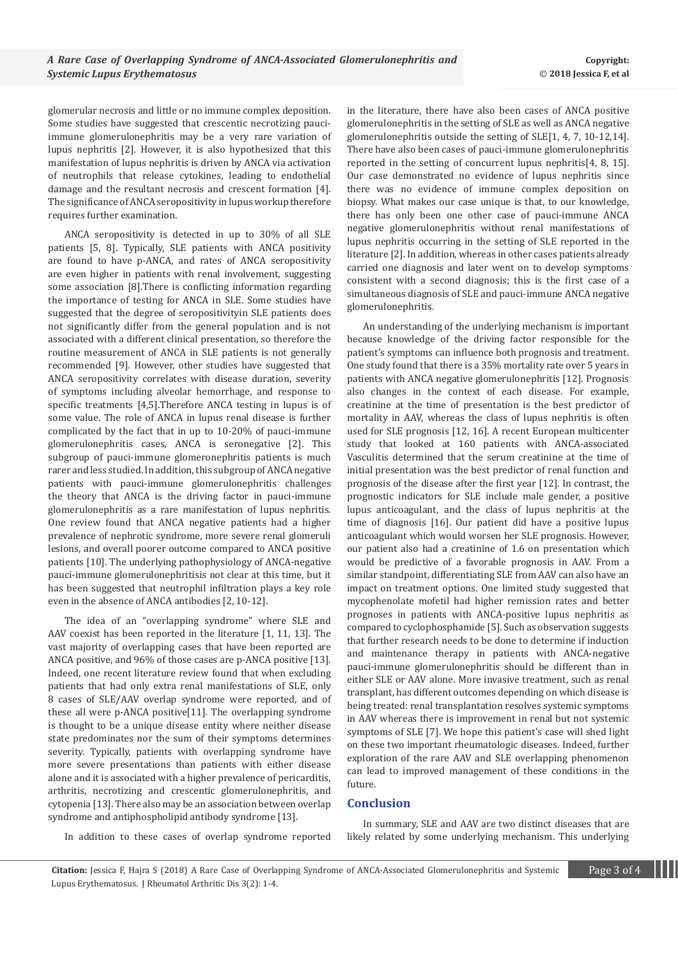glomerular necrosis and little or no immune complex deposition. Some studies have suggested that crescentic necrotizing pauciimmune glomerulonephritis may be a very rare variation of lupus nephritis [2]. However, it is also hypothesized that this manifestation of lupus nephritis is driven by ANCA via activation of neutrophils that release cytokines, leading to endothelial damage and the resultant necrosis and crescent formation [4]. The significance of ANCA seropositivity in lupus workup therefore requires further examination.

ANCA seropositivity is detected in up to 30% of all SLE patients [5, 8]. Typically, SLE patients with ANCA positivity are found to have p-ANCA, and rates of ANCA seropositivity are even higher in patients with renal involvement, suggesting some association [8].There is conflicting information regarding the importance of testing for ANCA in SLE. Some studies have suggested that the degree of seropositivityin SLE patients does not significantly differ from the general population and is not associated with a different clinical presentation, so therefore the routine measurement of ANCA in SLE patients is not generally recommended [9]. However, other studies have suggested that ANCA seropositivity correlates with disease duration, severity of symptoms including alveolar hemorrhage, and response to specific treatments [4,5].Therefore ANCA testing in lupus is of some value. The role of ANCA in lupus renal disease is further complicated by the fact that in up to 10-20% of pauci-immune glomerulonephritis cases, ANCA is seronegative [2]. This subgroup of pauci-immune glomeronephritis patients is much rarer and less studied. In addition, this subgroup of ANCA negative patients with pauci-immune glomerulonephritis challenges the theory that ANCA is the driving factor in pauci-immune glomerulonephritis as a rare manifestation of lupus nephritis. One review found that ANCA negative patients had a higher prevalence of nephrotic syndrome, more severe renal glomeruli lesions, and overall poorer outcome compared to ANCA positive patients [10]. The underlying pathophysiology of ANCA-negative pauci-immune glomerulonephritisis not clear at this time, but it has been suggested that neutrophil infiltration plays a key role even in the absence of ANCA antibodies [2, 10-12].

The idea of an "overlapping syndrome" where SLE and AAV coexist has been reported in the literature [1, 11, 13]. The vast majority of overlapping cases that have been reported are ANCA positive, and 96% of those cases are p-ANCA positive [13]. Indeed, one recent literature review found that when excluding patients that had only extra renal manifestations of SLE, only 8 cases of SLE/AAV overlap syndrome were reported, and of these all were p-ANCA positive[11]. The overlapping syndrome is thought to be a unique disease entity where neither disease state predominates nor the sum of their symptoms determines severity. Typically, patients with overlapping syndrome have more severe presentations than patients with either disease alone and it is associated with a higher prevalence of pericarditis, arthritis, necrotizing and crescentic glomerulonephritis, and cytopenia [13]. There also may be an association between overlap syndrome and antiphospholipid antibody syndrome [13].

in the literature, there have also been cases of ANCA positive glomerulonephritis in the setting of SLE as well as ANCA negative glomerulonephritis outside the setting of SLE[1, 4, 7, 10-12,14]. There have also been cases of pauci-immune glomerulonephritis reported in the setting of concurrent lupus nephritis[4, 8, 15]. Our case demonstrated no evidence of lupus nephritis since there was no evidence of immune complex deposition on biopsy. What makes our case unique is that, to our knowledge, there has only been one other case of pauci-immune ANCA negative glomerulonephritis without renal manifestations of lupus nephritis occurring in the setting of SLE reported in the literature [2]. In addition, whereas in other cases patients already carried one diagnosis and later went on to develop symptoms consistent with a second diagnosis; this is the first case of a simultaneous diagnosis of SLE and pauci-immune ANCA negative glomerulonephritis.

An understanding of the underlying mechanism is important because knowledge of the driving factor responsible for the patient's symptoms can influence both prognosis and treatment. One study found that there is a 35% mortality rate over 5 years in patients with ANCA negative glomerulonephritis [12]. Prognosis also changes in the context of each disease. For example, creatinine at the time of presentation is the best predictor of mortality in AAV, whereas the class of lupus nephritis is often used for SLE prognosis [12, 16]. A recent European multicenter study that looked at 160 patients with ANCA-associated Vasculitis determined that the serum creatinine at the time of initial presentation was the best predictor of renal function and prognosis of the disease after the first year [12]. In contrast, the prognostic indicators for SLE include male gender, a positive lupus anticoagulant, and the class of lupus nephritis at the time of diagnosis [16]. Our patient did have a positive lupus anticoagulant which would worsen her SLE prognosis. However, our patient also had a creatinine of 1.6 on presentation which would be predictive of a favorable prognosis in AAV. From a similar standpoint, differentiating SLE from AAV can also have an impact on treatment options. One limited study suggested that mycophenolate mofetil had higher remission rates and better prognoses in patients with ANCA-positive lupus nephritis as compared to cyclophosphamide [5]. Such as observation suggests that further research needs to be done to determine if induction and maintenance therapy in patients with ANCA-negative pauci-immune glomerulonephritis should be different than in either SLE or AAV alone. More invasive treatment, such as renal transplant, has different outcomes depending on which disease is being treated: renal transplantation resolves systemic symptoms in AAV whereas there is improvement in renal but not systemic symptoms of SLE [7]. We hope this patient's case will shed light on these two important rheumatologic diseases. Indeed, further exploration of the rare AAV and SLE overlapping phenomenon can lead to improved management of these conditions in the future.

## **Conclusion**

In summary, SLE and AAV are two distinct diseases that are likely related by some underlying mechanism. This underlying

In addition to these cases of overlap syndrome reported

**Citation:** Jessica F, Hajra S (2018) A Rare Case of Overlapping Syndrome of ANCA-Associated Glomerulonephritis and Systemic Page 3 of 4 Lupus Erythematosus. J Rheumatol Arthritic Dis 3(2): 1-4.